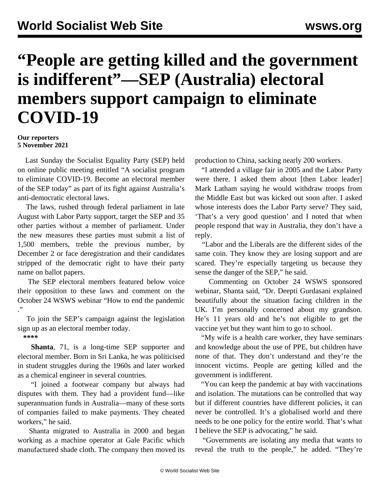## **"People are getting killed and the government is indifferent"—SEP (Australia) electoral members support campaign to eliminate COVID-19**

## **Our reporters 5 November 2021**

 Last Sunday the Socialist Equality Party (SEP) held on [online public meeting](/en/articles/2021/11/02/amee-n02.html) entitled "A socialist program to eliminate COVID-19. Become an electoral member of the SEP today" as part of its fight against Australia's anti-democratic electoral laws.

 The laws, rushed through federal parliament in late August with Labor Party support, target the SEP and 35 other parties without a member of parliament. Under the new measures these parties must submit a list of 1,500 members, treble the previous number, by December 2 or face deregistration and their candidates stripped of the democratic right to have their party name on ballot papers.

 The SEP electoral members featured below voice their opposition to these laws and comment on the October 24 WSWS webinar "[How to end the pandemic](/en/articles/2021/10/26/rgqy-o26.html) ."

 To join the SEP's campaign against the legislation sign up as an [electoral member](/en/special/pages/sep/australia/home.html) today.

**\*\*\*\***

 **Shanta**, 71, is a long-time SEP supporter and electoral member. Born in Sri Lanka, he was politicised in student struggles during the 1960s and later worked as a chemical engineer in several countries.

 "I joined a footwear company but always had disputes with them. They had a provident fund—like superannuation funds in Australia—many of these sorts of companies failed to make payments. They cheated workers," he said.

 Shanta migrated to Australia in 2000 and began working as a machine operator at Gale Pacific which manufactured shade cloth. The company then moved its

production to China, sacking nearly 200 workers.

 "I attended a village fair in 2005 and the Labor Party were there. I asked them about [then Labor leader] Mark Latham saying he would withdraw troops from the Middle East but was kicked out soon after. I asked whose interests does the Labor Party serve? They said, 'That's a very good question' and I noted that when people respond that way in Australia, they don't have a reply.

 "Labor and the Liberals are the different sides of the same coin. They know they are losing support and are scared. They're especially targeting us because they sense the danger of the SEP," he said.

 Commenting on October 24 WSWS sponsored webinar, Shanta said, "Dr. Deepti Gurdasani explained beautifully about the situation facing children in the UK. I'm personally concerned about my grandson. He's 11 years old and he's not eligible to get the vaccine yet but they want him to go to school.

 "My wife is a health care worker, they have seminars and knowledge about the use of PPE, but children have none of that. They don't understand and they're the innocent victims. People are getting killed and the government is indifferent.

 "You can keep the pandemic at bay with vaccinations and isolation. The mutations can be controlled that way but if different countries have different policies, it can never be controlled. It's a globalised world and there needs to be one policy for the entire world. That's what I believe the SEP is advocating," he said.

 "Governments are isolating any media that wants to reveal the truth to the people," he added. "They're